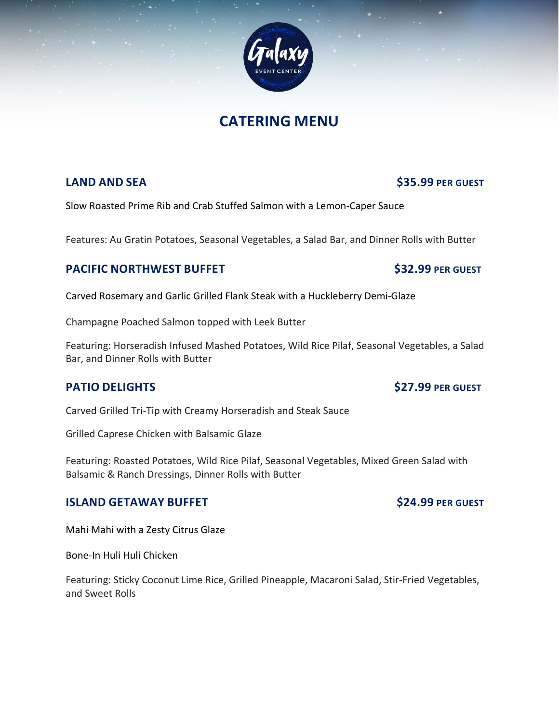# **CATERING MENU**

## **LAND AND SEA 535.99 PER GUEST**

Slow Roasted Prime Rib and Crab Stuffed Salmon with a Lemon-Caper Sauce

Features: Au Gratin Potatoes, Seasonal Vegetables, a Salad Bar, and Dinner Rolls with Butter

## **PACIFIC NORTHWEST BUFFET** \$32.99 PER GUEST

Carved Rosemary and Garlic Grilled Flank Steak with a Huckleberry Demi-Glaze

Champagne Poached Salmon topped with Leek Butter

Featuring: Horseradish Infused Mashed Potatoes, Wild Rice Pilaf, Seasonal Vegetables, a Salad Bar, and Dinner Rolls with Butter

## **PATIO DELIGHTS** \$27.99 PER GUEST

Carved Grilled Tri-Tip with Creamy Horseradish and Steak Sauce

Grilled Caprese Chicken with Balsamic Glaze

Featuring: Roasted Potatoes, Wild Rice Pilaf, Seasonal Vegetables, Mixed Green Salad with Balsamic & Ranch Dressings, Dinner Rolls with Butter

### **ISLAND GETAWAY BUFFET** \$24.99 PER GUEST

Mahi Mahi with a Zesty Citrus Glaze

Bone-In Huli Huli Chicken

Featuring: Sticky Coconut Lime Rice, Grilled Pineapple, Macaroni Salad, Stir-Fried Vegetables, and Sweet Rolls



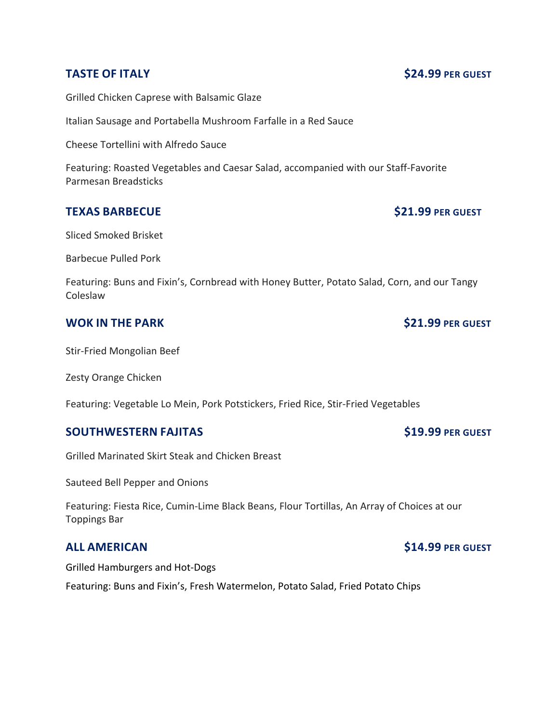Grilled Chicken Caprese with Balsamic Glaze

Italian Sausage and Portabella Mushroom Farfalle in a Red Sauce

Cheese Tortellini with Alfredo Sauce

Featuring: Roasted Vegetables and Caesar Salad, accompanied with our Staff-Favorite Parmesan Breadsticks

## **TEXAS BARBECUE** \$21.99 PER GUEST

Sliced Smoked Brisket

Barbecue Pulled Pork

Featuring: Buns and Fixin's, Cornbread with Honey Butter, Potato Salad, Corn, and our Tangy Coleslaw

## **WOK IN THE PARK \$21.99** PER GUEST

Stir-Fried Mongolian Beef

Zesty Orange Chicken

Featuring: Vegetable Lo Mein, Pork Potstickers, Fried Rice, Stir-Fried Vegetables

## **SOUTHWESTERN FAJITAS** \$19.99 PER GUEST

Grilled Marinated Skirt Steak and Chicken Breast

Sauteed Bell Pepper and Onions

Featuring: Fiesta Rice, Cumin-Lime Black Beans, Flour Tortillas, An Array of Choices at our Toppings Bar

Grilled Hamburgers and Hot-Dogs

Featuring: Buns and Fixin's, Fresh Watermelon, Potato Salad, Fried Potato Chips

### **TASTE OF ITALY 624.99** PER GUEST

## **ALL AMERICAN \$14.99 PER GUEST**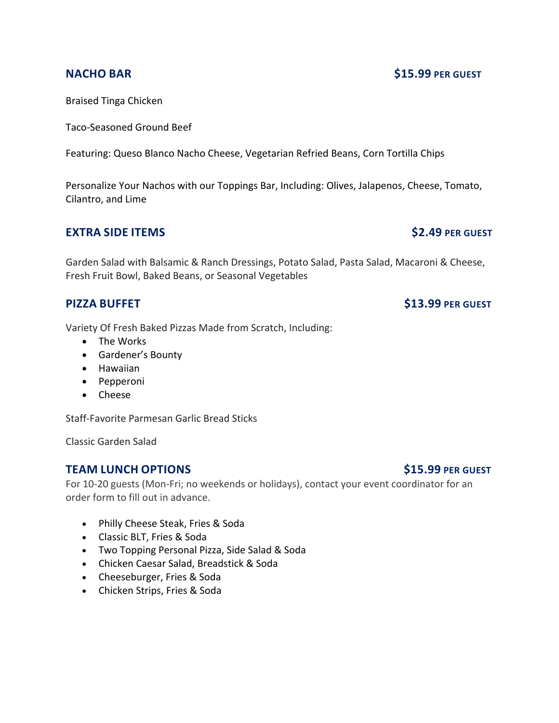Braised Tinga Chicken

Taco-Seasoned Ground Beef

Featuring: Queso Blanco Nacho Cheese, Vegetarian Refried Beans, Corn Tortilla Chips

Personalize Your Nachos with our Toppings Bar, Including: Olives, Jalapenos, Cheese, Tomato, Cilantro, and Lime

## **EXTRA SIDE ITEMS 62.49 PER GUEST**

Garden Salad with Balsamic & Ranch Dressings, Potato Salad, Pasta Salad, Macaroni & Cheese, Fresh Fruit Bowl, Baked Beans, or Seasonal Vegetables

## **PIZZA BUFFET** \$13.99 PER GUEST

Variety Of Fresh Baked Pizzas Made from Scratch, Including:

- The Works
- Gardener's Bounty
- Hawaiian
- Pepperoni
- Cheese

Staff-Favorite Parmesan Garlic Bread Sticks

Classic Garden Salad

## **TEAM LUNCH OPTIONS 615.99** PER GUEST

For 10-20 guests (Mon-Fri; no weekends or holidays), contact your event coordinator for an order form to fill out in advance.

- Philly Cheese Steak, Fries & Soda
- Classic BLT, Fries & Soda
- Two Topping Personal Pizza, Side Salad & Soda
- Chicken Caesar Salad, Breadstick & Soda
- Cheeseburger, Fries & Soda
- Chicken Strips, Fries & Soda

## **NACHO BAR \$15.99 PER GUEST**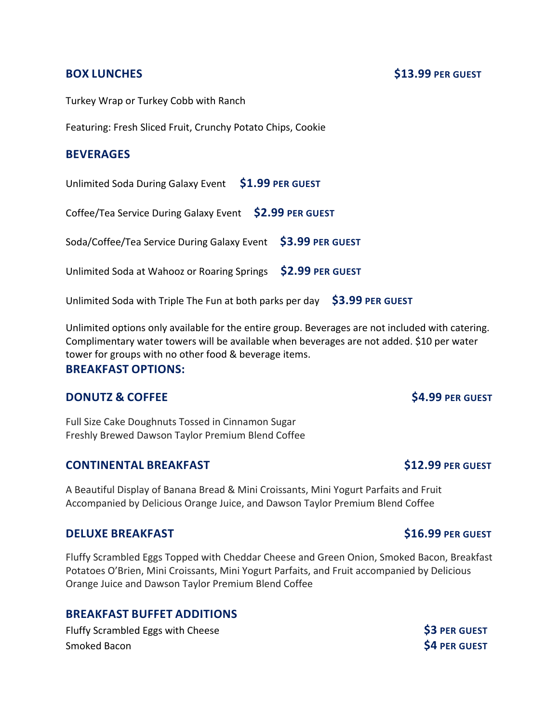### **BOX LUNCHES** \$13.99 PER GUEST

Turkey Wrap or Turkey Cobb with Ranch

Featuring: Fresh Sliced Fruit, Crunchy Potato Chips, Cookie

### **BEVERAGES**

Unlimited Soda During Galaxy Event **\$1.99 PER GUEST**

Coffee/Tea Service During Galaxy Event **\$2.99 PER GUEST**

Soda/Coffee/Tea Service During Galaxy Event **\$3.99 PER GUEST**

Unlimited Soda at Wahooz or Roaring Springs **\$2.99 PER GUEST**

Unlimited Soda with Triple The Fun at both parks per day **\$3.99 PER GUEST**

Unlimited options only available for the entire group. Beverages are not included with catering. Complimentary water towers will be available when beverages are not added. \$10 per water tower for groups with no other food & beverage items.

### **BREAKFAST OPTIONS:**

## **DONUTZ & COFFEE** \$4.99 PER GUEST

Full Size Cake Doughnuts Tossed in Cinnamon Sugar Freshly Brewed Dawson Taylor Premium Blend Coffee

## **CONTINENTAL BREAKFAST** \$12.99 PER GUEST

A Beautiful Display of Banana Bread & Mini Croissants, Mini Yogurt Parfaits and Fruit Accompanied by Delicious Orange Juice, and Dawson Taylor Premium Blend Coffee

### **DELUXE BREAKFAST 1999 1999 \$16.99 PER GUEST**

Fluffy Scrambled Eggs Topped with Cheddar Cheese and Green Onion, Smoked Bacon, Breakfast Potatoes O'Brien, Mini Croissants, Mini Yogurt Parfaits, and Fruit accompanied by Delicious Orange Juice and Dawson Taylor Premium Blend Coffee

## **BREAKFAST BUFFET ADDITIONS**

Fluffy Scrambled Eggs with Cheese **\$3** PER GUEST **Smoked Bacon \$4 PER GUEST**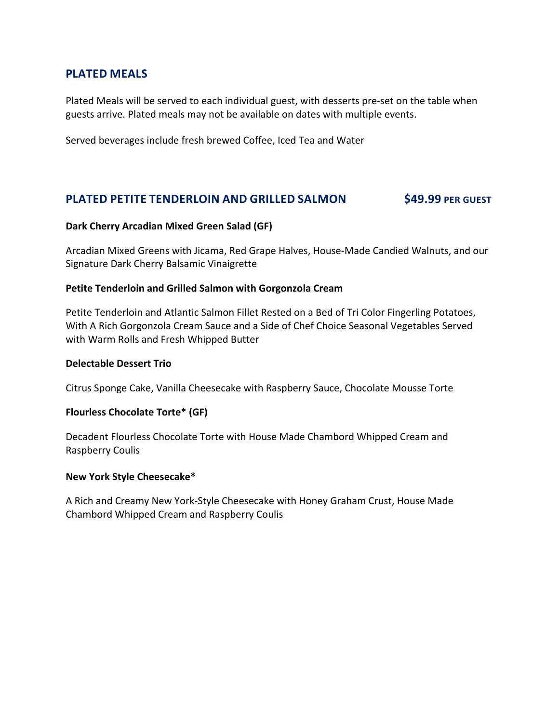## **PLATED MEALS**

Plated Meals will be served to each individual guest, with desserts pre-set on the table when guests arrive. Plated meals may not be available on dates with multiple events.

Served beverages include fresh brewed Coffee, Iced Tea and Water

## **PLATED PETITE TENDERLOIN AND GRILLED SALMON \$49.99 PER GUEST**

### **Dark Cherry Arcadian Mixed Green Salad (GF)**

Arcadian Mixed Greens with Jicama, Red Grape Halves, House-Made Candied Walnuts, and our Signature Dark Cherry Balsamic Vinaigrette

### **Petite Tenderloin and Grilled Salmon with Gorgonzola Cream**

Petite Tenderloin and Atlantic Salmon Fillet Rested on a Bed of Tri Color Fingerling Potatoes, With A Rich Gorgonzola Cream Sauce and a Side of Chef Choice Seasonal Vegetables Served with Warm Rolls and Fresh Whipped Butter

### **Delectable Dessert Trio**

Citrus Sponge Cake, Vanilla Cheesecake with Raspberry Sauce, Chocolate Mousse Torte

### **Flourless Chocolate Torte\* (GF)**

Decadent Flourless Chocolate Torte with House Made Chambord Whipped Cream and Raspberry Coulis

### **New York Style Cheesecake\***

A Rich and Creamy New York-Style Cheesecake with Honey Graham Crust, House Made Chambord Whipped Cream and Raspberry Coulis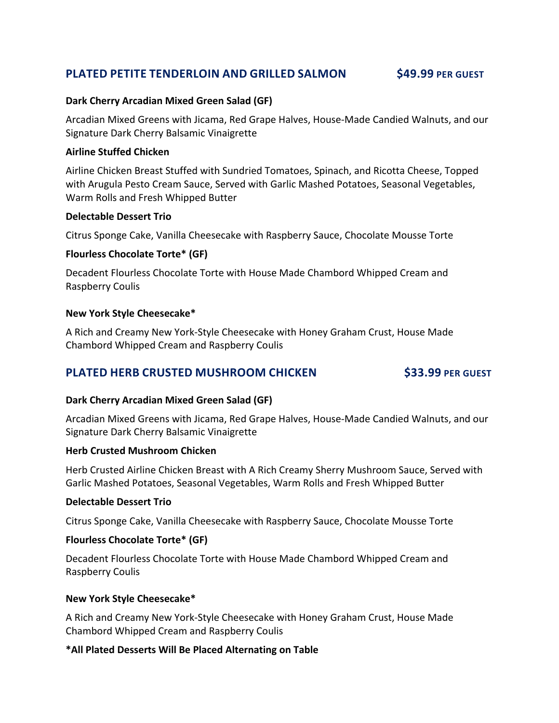## **PLATED PETITE TENDERLOIN AND GRILLED SALMON \$49.99 PER GUEST**

### **Dark Cherry Arcadian Mixed Green Salad (GF)**

Arcadian Mixed Greens with Jicama, Red Grape Halves, House-Made Candied Walnuts, and our Signature Dark Cherry Balsamic Vinaigrette

### **Airline Stuffed Chicken**

Airline Chicken Breast Stuffed with Sundried Tomatoes, Spinach, and Ricotta Cheese, Topped with Arugula Pesto Cream Sauce, Served with Garlic Mashed Potatoes, Seasonal Vegetables, Warm Rolls and Fresh Whipped Butter

### **Delectable Dessert Trio**

Citrus Sponge Cake, Vanilla Cheesecake with Raspberry Sauce, Chocolate Mousse Torte

### **Flourless Chocolate Torte\* (GF)**

Decadent Flourless Chocolate Torte with House Made Chambord Whipped Cream and Raspberry Coulis

### **New York Style Cheesecake\***

A Rich and Creamy New York-Style Cheesecake with Honey Graham Crust, House Made Chambord Whipped Cream and Raspberry Coulis

## **PLATED HERB CRUSTED MUSHROOM CHICKEN \$33.99 PER GUEST**

### **Dark Cherry Arcadian Mixed Green Salad (GF)**

Arcadian Mixed Greens with Jicama, Red Grape Halves, House-Made Candied Walnuts, and our Signature Dark Cherry Balsamic Vinaigrette

### **Herb Crusted Mushroom Chicken**

Herb Crusted Airline Chicken Breast with A Rich Creamy Sherry Mushroom Sauce, Served with Garlic Mashed Potatoes, Seasonal Vegetables, Warm Rolls and Fresh Whipped Butter

### **Delectable Dessert Trio**

Citrus Sponge Cake, Vanilla Cheesecake with Raspberry Sauce, Chocolate Mousse Torte

### **Flourless Chocolate Torte\* (GF)**

Decadent Flourless Chocolate Torte with House Made Chambord Whipped Cream and Raspberry Coulis

### **New York Style Cheesecake\***

A Rich and Creamy New York-Style Cheesecake with Honey Graham Crust, House Made Chambord Whipped Cream and Raspberry Coulis

### **\*All Plated Desserts Will Be Placed Alternating on Table**